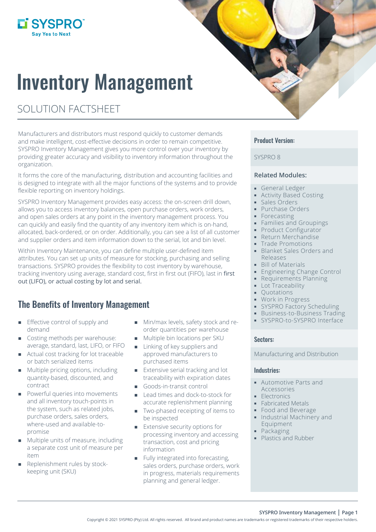## L'SYSPRO

# Inventory Management

## SOLUTION FACTSHEET

Manufacturers and distributors must respond quickly to customer demands and make intelligent, cost-effective decisions in order to remain competitive. SYSPRO Inventory Management gives you more control over your inventory by providing greater accuracy and visibility to inventory information throughout the organization.

It forms the core of the manufacturing, distribution and accounting facilities and is designed to integrate with all the major functions of the systems and to provide flexible reporting on inventory holdings.

SYSPRO Inventory Management provides easy access: the on-screen drill down, allows you to access inventory balances, open purchase orders, work orders, and open sales orders at any point in the inventory management process. You can quickly and easily find the quantity of any inventory item which is on-hand, allocated, back-ordered, or on order. Additionally, you can see a list of all customer and supplier orders and item information down to the serial, lot and bin level.

Within Inventory Maintenance, you can define multiple user-defined item attributes. You can set up units of measure for stocking, purchasing and selling transactions. SYSPRO provides the flexibility to cost inventory by warehouse, tracking inventory using average, standard cost, first in first out (FIFO), last in first out (LIFO), or actual costing by lot and serial.

## The Benefits of Inventory Management

- $\blacksquare$  Effective control of supply and demand
- Costing methods per warehouse: average, standard, last, LIFO, or FIFO
- Actual cost tracking for lot traceable or batch serialized items
- Multiple pricing options, including quantity-based, discounted, and contract
- **Powerful queries into movements** and all inventory touch-points in the system, such as related jobs, purchase orders, sales orders, where-used and available-topromise
- Multiple units of measure, including a separate cost unit of measure per item
- Replenishment rules by stockkeeping unit (SKU)
- **Min/max levels, safety stock and re**order quantities per warehouse
- **Multiple bin locations per SKU**
- **Linking of key suppliers and** approved manufacturers to purchased items
- **Extensive serial tracking and lot** traceability with expiration dates
- Goods-in-transit control
- Lead times and dock-to-stock for accurate replenishment planning
- **Two-phased receipting of items to** be inspected
- **Extensive security options for** processing inventory and accessing transaction, cost and pricing information
- Fully integrated into forecasting, sales orders, purchase orders, work in progress, materials requirements planning and general ledger.

#### Product Version:

#### SYSPRO 8

#### **Related Modules:**

- General Ledger
- Activity Based Costing
- **Sales Orders**
- **Purchase Orders**
- **Forecasting**
- Families and Groupings
- Product Configurator
- **Return Merchandise**
- Trade Promotions
- **Blanket Sales Orders and** Releases
- **Bill of Materials**
- **Engineering Change Control**
- **Requirements Planning**
- **Lot Traceability**
- **Cuotations**
- **Work in Progress**
- **SYSPRO Factory Scheduling**
- **Business-to-Business Trading**
- SYSPRO-to-SYSPRO Interface

#### Sectors:

Manufacturing and Distribution

#### Industries:

- Automotive Parts and Accessories
- **Electronics**
- **Fabricated Metals**
- **Food and Beverage**
- **Industrial Machinery and** Equipment
- **Packaging**
- Plastics and Rubber

**SYSPRO Inventory Management | Page 1**